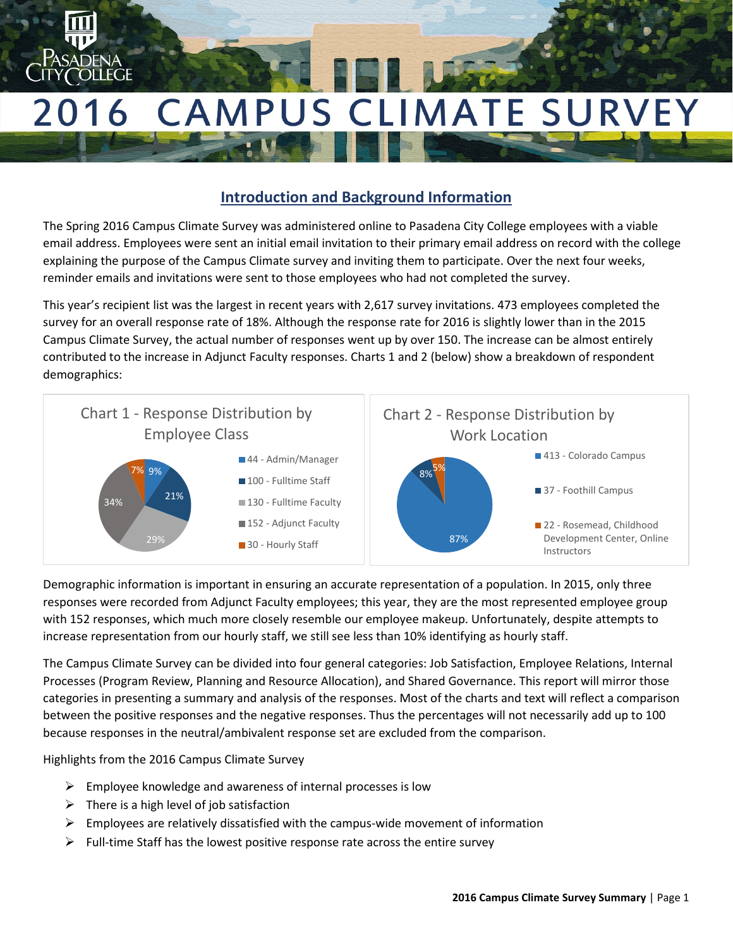

# **Introduction and Background Information**

The Spring 2016 Campus Climate Survey was administered online to Pasadena City College employees with a viable email address. Employees were sent an initial email invitation to their primary email address on record with the college explaining the purpose of the Campus Climate survey and inviting them to participate. Over the next four weeks, reminder emails and invitations were sent to those employees who had not completed the survey.

This year's recipient list was the largest in recent years with 2,617 survey invitations. 473 employees completed the survey for an overall response rate of 18%. Although the response rate for 2016 is slightly lower than in the 2015 Campus Climate Survey, the actual number of responses went up by over 150. The increase can be almost entirely contributed to the increase in Adjunct Faculty responses. Charts 1 and 2 (below) show a breakdown of respondent demographics:



Demographic information is important in ensuring an accurate representation of a population. In 2015, only three responses were recorded from Adjunct Faculty employees; this year, they are the most represented employee group with 152 responses, which much more closely resemble our employee makeup. Unfortunately, despite attempts to increase representation from our hourly staff, we still see less than 10% identifying as hourly staff.

The Campus Climate Survey can be divided into four general categories: Job Satisfaction, Employee Relations, Internal Processes (Program Review, Planning and Resource Allocation), and Shared Governance. This report will mirror those categories in presenting a summary and analysis of the responses. Most of the charts and text will reflect a comparison between the positive responses and the negative responses. Thus the percentages will not necessarily add up to 100 because responses in the neutral/ambivalent response set are excluded from the comparison.

Highlights from the 2016 Campus Climate Survey

- $\triangleright$  Employee knowledge and awareness of internal processes is low
- $\triangleright$  There is a high level of job satisfaction
- $\triangleright$  Employees are relatively dissatisfied with the campus-wide movement of information
- $\triangleright$  Full-time Staff has the lowest positive response rate across the entire survey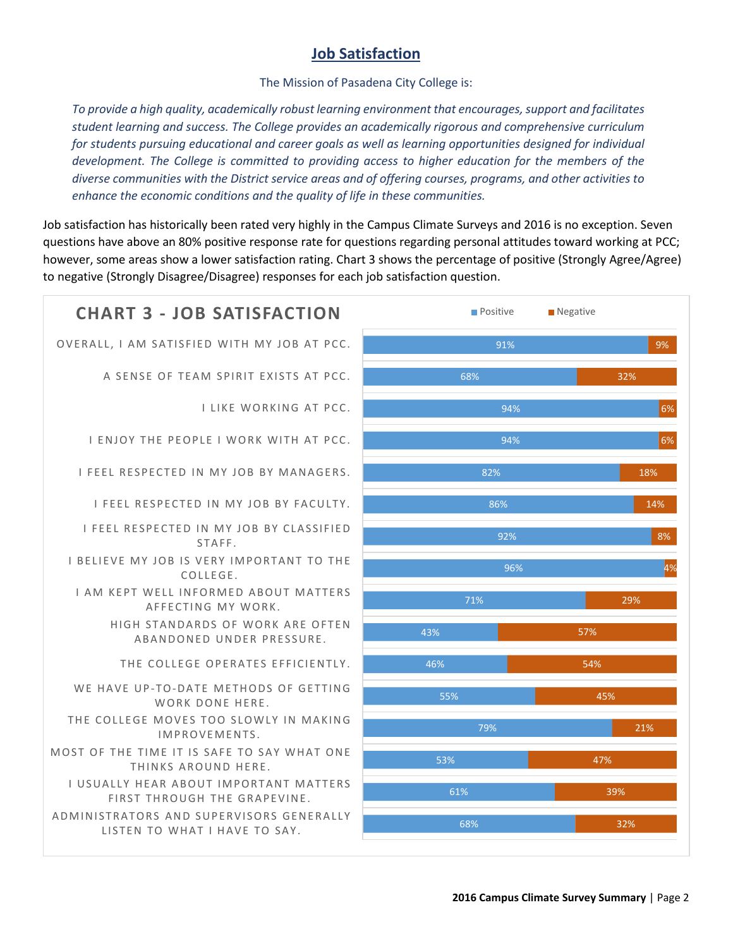### **Job Satisfaction**

The Mission of Pasadena City College is:

*To provide a high quality, academically robust learning environment that encourages, support and facilitates student learning and success. The College provides an academically rigorous and comprehensive curriculum*  for students pursuing educational and career goals as well as learning opportunities designed for individual *development. The College is committed to providing access to higher education for the members of the diverse communities with the District service areas and of offering courses, programs, and other activities to enhance the economic conditions and the quality of life in these communities.*

Job satisfaction has historically been rated very highly in the Campus Climate Surveys and 2016 is no exception. Seven questions have above an 80% positive response rate for questions regarding personal attitudes toward working at PCC; however, some areas show a lower satisfaction rating. Chart 3 shows the percentage of positive (Strongly Agree/Agree) to negative (Strongly Disagree/Disagree) responses for each job satisfaction question.

# ADMINISTRATORS AND SUPERVISORS GENERALLY LISTEN TO WHAT I HAVE TO SAY. I USUALLY HEAR ABOUT IMPORTANT MATTERS FIRST THROUGH THE GRAPEVINE. MOST OF THE TIME IT IS SAFE TO SAY WHAT ONE THINKS AROUND HERE. THE COLLEGE MOVES TOO SLOWLY IN MAKING IMPROVEMENTS. WE HAVE UP-TO-DATE METHODS OF GETTING WORK DONE HERE THE COLLEGE OPERATES EFFICIENTLY. HIGH STANDARDS OF WORK ARE OFTEN ABANDONED UNDER PRESSURE. I AM KEPT WELL INFORMED ABOUT MATTERS AFFECTING MY WORK. I BELIEVE MY JOB IS VERY IMPORTANT TO THE COLLEGE. I FEEL RESPECTED IN MY JOB BY CLASSIFIED STAFF. I FEEL RESPECTED IN MY JOB BY FACULTY. I FEEL RESPECTED IN MY JOB BY MANAGERS. I ENJOY THE PEOPLE I WORK WITH AT PCC. I LIKE WORKING AT PCC. A SENSE OF TEAM SPIRIT EXISTS AT PCC. OVERALL, I AM SATISFIED WITH MY JOB AT PCC. **CHART 3 - IOB SATISFACTION** Positive **Negative**

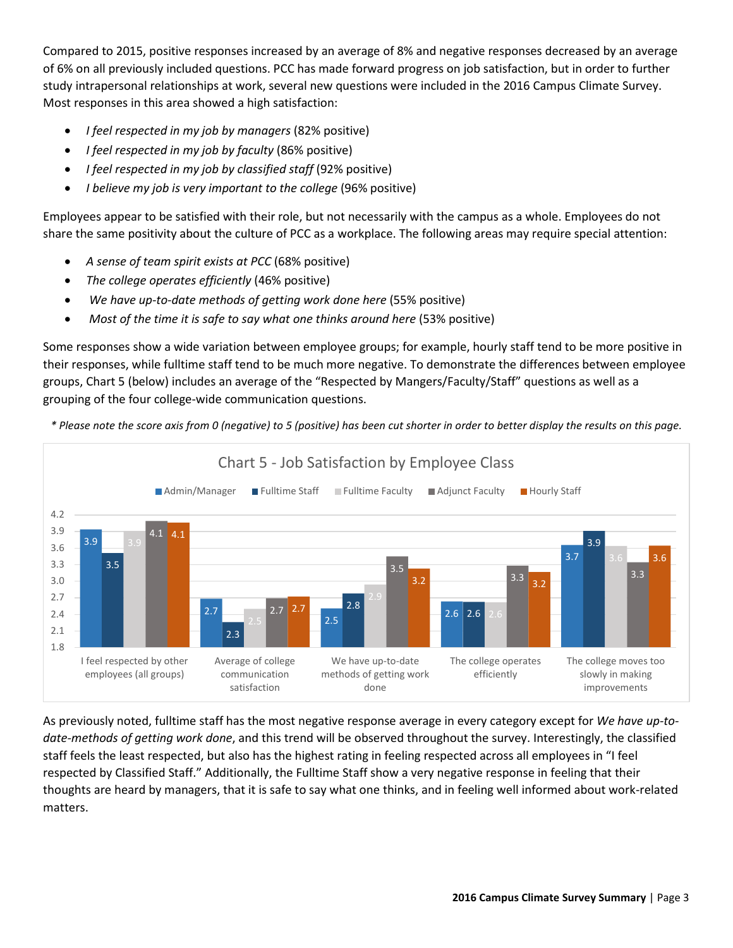Compared to 2015, positive responses increased by an average of 8% and negative responses decreased by an average of 6% on all previously included questions. PCC has made forward progress on job satisfaction, but in order to further study intrapersonal relationships at work, several new questions were included in the 2016 Campus Climate Survey. Most responses in this area showed a high satisfaction:

- *I feel respected in my job by managers* (82% positive)
- *I feel respected in my job by faculty* (86% positive)
- *I feel respected in my job by classified staff* (92% positive)
- *I believe my job is very important to the college* (96% positive)

Employees appear to be satisfied with their role, but not necessarily with the campus as a whole. Employees do not share the same positivity about the culture of PCC as a workplace. The following areas may require special attention:

- *A sense of team spirit exists at PCC* (68% positive)
- *The college operates efficiently* (46% positive)
- We have up-to-date methods of getting work done here (55% positive)
- *Most of the time it is safe to say what one thinks around here (53% positive)*

Some responses show a wide variation between employee groups; for example, hourly staff tend to be more positive in their responses, while fulltime staff tend to be much more negative. To demonstrate the differences between employee groups, Chart 5 (below) includes an average of the "Respected by Mangers/Faculty/Staff" questions as well as a grouping of the four college-wide communication questions.

*\* Please note the score axis from 0 (negative) to 5 (positive) has been cut shorter in order to better display the results on this page.*



As previously noted, fulltime staff has the most negative response average in every category except for *We have up-todate-methods of getting work done*, and this trend will be observed throughout the survey. Interestingly, the classified staff feels the least respected, but also has the highest rating in feeling respected across all employees in "I feel respected by Classified Staff." Additionally, the Fulltime Staff show a very negative response in feeling that their thoughts are heard by managers, that it is safe to say what one thinks, and in feeling well informed about work-related matters.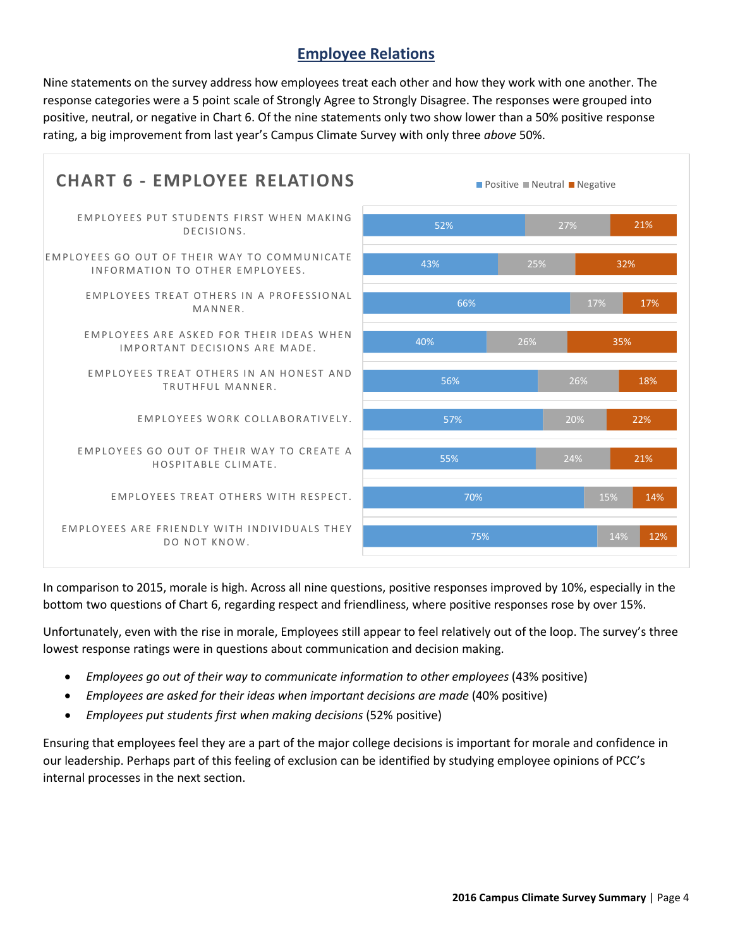### **Employee Relations**

Nine statements on the survey address how employees treat each other and how they work with one another. The response categories were a 5 point scale of Strongly Agree to Strongly Disagree. The responses were grouped into positive, neutral, or negative in Chart 6. Of the nine statements only two show lower than a 50% positive response rating, a big improvement from last year's Campus Climate Survey with only three *above* 50%.



In comparison to 2015, morale is high. Across all nine questions, positive responses improved by 10%, especially in the bottom two questions of Chart 6, regarding respect and friendliness, where positive responses rose by over 15%.

Unfortunately, even with the rise in morale, Employees still appear to feel relatively out of the loop. The survey's three lowest response ratings were in questions about communication and decision making.

- *Employees go out of their way to communicate information to other employees* (43% positive)
- *Employees are asked for their ideas when important decisions are made* (40% positive)
- *Employees put students first when making decisions* (52% positive)

Ensuring that employees feel they are a part of the major college decisions is important for morale and confidence in our leadership. Perhaps part of this feeling of exclusion can be identified by studying employee opinions of PCC's internal processes in the next section.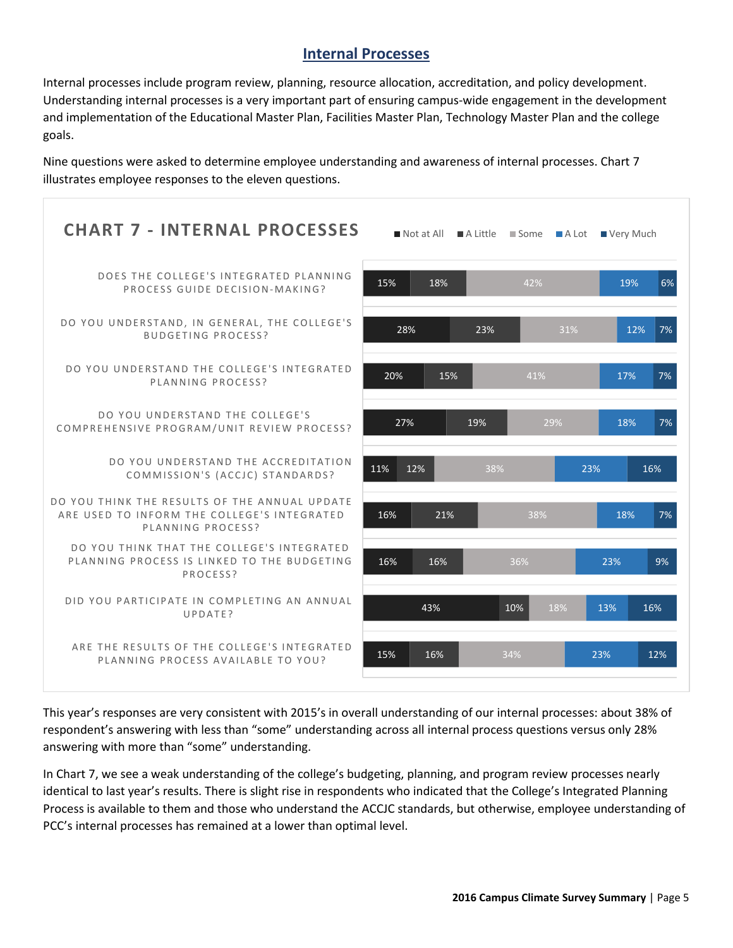#### **Internal Processes**

Internal processes include program review, planning, resource allocation, accreditation, and policy development. Understanding internal processes is a very important part of ensuring campus-wide engagement in the development and implementation of the Educational Master Plan, Facilities Master Plan, Technology Master Plan and the college goals.

Nine questions were asked to determine employee understanding and awareness of internal processes. Chart 7 illustrates employee responses to the eleven questions.

| <b>CHART 7 - INTERNAL PROCESSES</b>                                                                               |            |     | Not at All A Little Some A Lot Very Much |            |
|-------------------------------------------------------------------------------------------------------------------|------------|-----|------------------------------------------|------------|
| DOES THE COLLEGE'S INTEGRATED PLANNING<br>PROCESS GUIDE DECISION-MAKING?                                          | 15%<br>18% |     | 42%                                      | 6%<br>19%  |
| DO YOU UNDERSTAND, IN GENERAL, THE COLLEGE'S<br><b>BUDGETING PROCESS?</b>                                         | 28%        | 23% | 31%                                      | 12%<br>7%  |
| DO YOU UNDERSTAND THE COLLEGE'S INTEGRATED<br>PLANNING PROCESS?                                                   | 20%        | 15% | 41%                                      | 7%<br>17%  |
| DO YOU UNDERSTAND THE COLLEGE'S<br>COMPREHENSIVE PROGRAM/UNIT REVIEW PROCESS?                                     | 27%        | 19% | 29%                                      | 7%<br>18%  |
| DO YOU UNDERSTAND THE ACCREDITATION<br>COMMISSION'S (ACCJC) STANDARDS?                                            | 11%<br>12% | 38% |                                          | 23%<br>16% |
| DO YOU THINK THE RESULTS OF THE ANNUAL UPDATE<br>ARE USED TO INFORM THE COLLEGE'S INTEGRATED<br>PLANNING PROCESS? | 16%<br>21% |     | 38%                                      | 18%<br>7%  |
| DO YOU THINK THAT THE COLLEGE'S INTEGRATED<br>PLANNING PROCESS IS LINKED TO THE BUDGETING<br>PROCESS?             | 16%<br>16% |     | 36%                                      | 9%<br>23%  |
| DID YOU PARTICIPATE IN COMPLETING AN ANNUAL<br>UPDATE?                                                            | 43%        |     | 10%<br>18%                               | 16%<br>13% |
| ARE THE RESULTS OF THE COLLEGE'S INTEGRATED<br>PLANNING PROCESS AVAILABLE TO YOU?                                 | 15%<br>16% |     | 34%                                      | 23%<br>12% |

This year's responses are very consistent with 2015's in overall understanding of our internal processes: about 38% of respondent's answering with less than "some" understanding across all internal process questions versus only 28% answering with more than "some" understanding.

In Chart 7, we see a weak understanding of the college's budgeting, planning, and program review processes nearly identical to last year's results. There is slight rise in respondents who indicated that the College's Integrated Planning Process is available to them and those who understand the ACCJC standards, but otherwise, employee understanding of PCC's internal processes has remained at a lower than optimal level.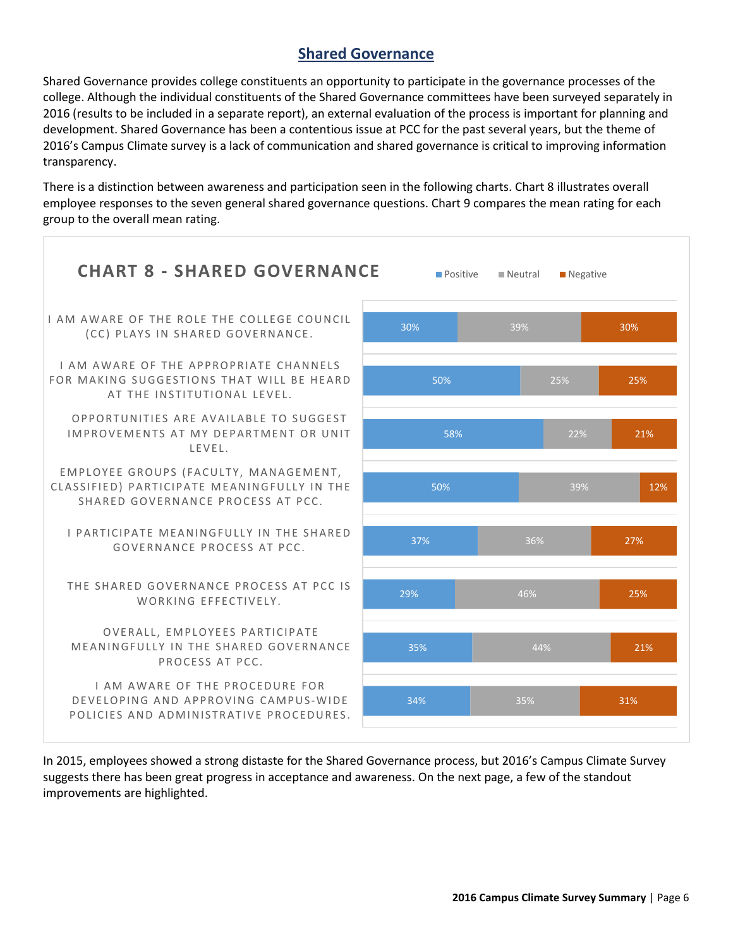### **Shared Governance**

Shared Governance provides college constituents an opportunity to participate in the governance processes of the college. Although the individual constituents of the Shared Governance committees have been surveyed separately in 2016 (results to be included in a separate report), an external evaluation of the process is important for planning and development. Shared Governance has been a contentious issue at PCC for the past several years, but the theme of 2016's Campus Climate survey is a lack of communication and shared governance is critical to improving information transparency.

There is a distinction between awareness and participation seen in the following charts. Chart 8 illustrates overall employee responses to the seven general shared governance questions. Chart 9 compares the mean rating for each group to the overall mean rating.



In 2015, employees showed a strong distaste for the Shared Governance process, but 2016's Campus Climate Survey suggests there has been great progress in acceptance and awareness. On the next page, a few of the standout improvements are highlighted.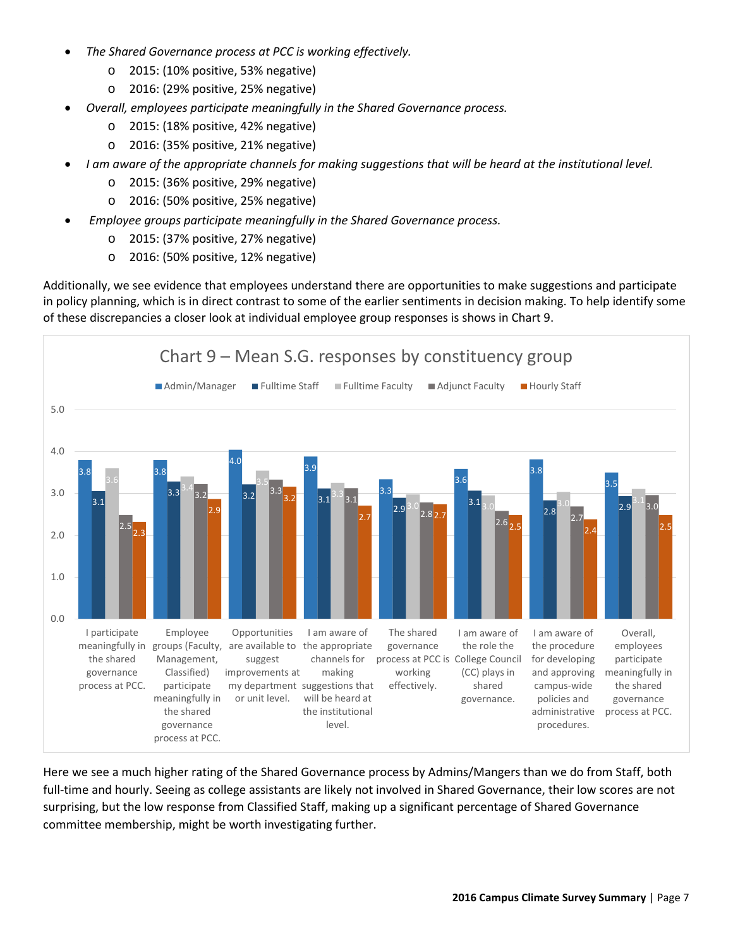- *The Shared Governance process at PCC is working effectively.*
	- o 2015: (10% positive, 53% negative)
	- o 2016: (29% positive, 25% negative)
- *Overall, employees participate meaningfully in the Shared Governance process.*
	- o 2015: (18% positive, 42% negative)
	- o 2016: (35% positive, 21% negative)
- *I am aware of the appropriate channels for making suggestions that will be heard at the institutional level.*
	- o 2015: (36% positive, 29% negative)
	- o 2016: (50% positive, 25% negative)
- *Employee groups participate meaningfully in the Shared Governance process.*
	- o 2015: (37% positive, 27% negative)
	- o 2016: (50% positive, 12% negative)

Additionally, we see evidence that employees understand there are opportunities to make suggestions and participate in policy planning, which is in direct contrast to some of the earlier sentiments in decision making. To help identify some of these discrepancies a closer look at individual employee group responses is shows in Chart 9.



Here we see a much higher rating of the Shared Governance process by Admins/Mangers than we do from Staff, both full-time and hourly. Seeing as college assistants are likely not involved in Shared Governance, their low scores are not surprising, but the low response from Classified Staff, making up a significant percentage of Shared Governance committee membership, might be worth investigating further.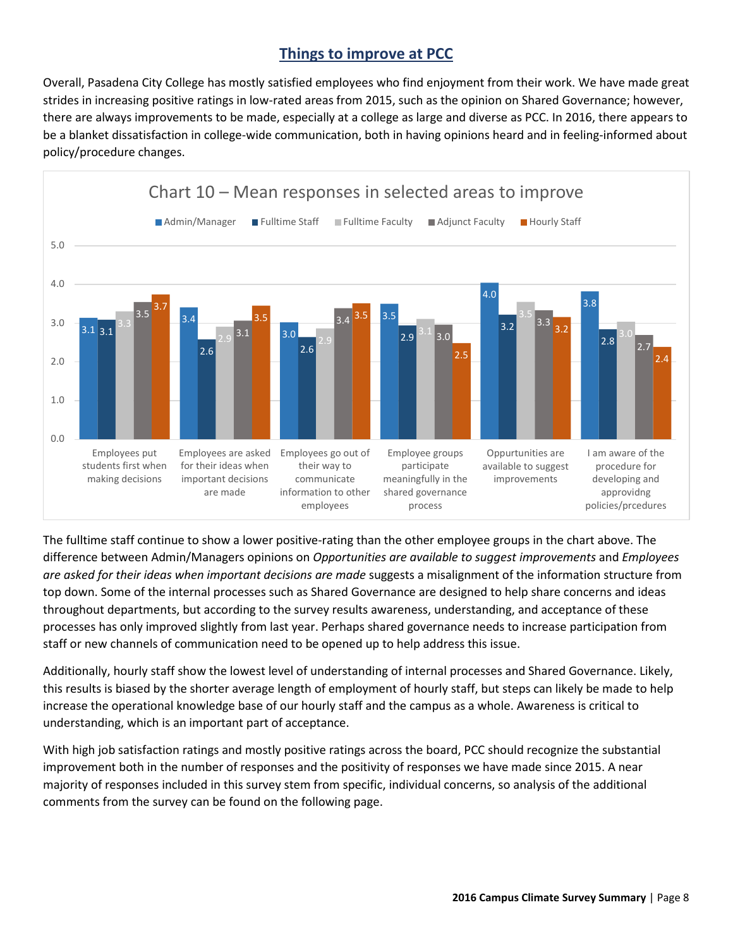## **Things to improve at PCC**

Overall, Pasadena City College has mostly satisfied employees who find enjoyment from their work. We have made great strides in increasing positive ratings in low-rated areas from 2015, such as the opinion on Shared Governance; however, there are always improvements to be made, especially at a college as large and diverse as PCC. In 2016, there appears to be a blanket dissatisfaction in college-wide communication, both in having opinions heard and in feeling-informed about policy/procedure changes.



The fulltime staff continue to show a lower positive-rating than the other employee groups in the chart above. The difference between Admin/Managers opinions on *Opportunities are available to suggest improvements* and *Employees are asked for their ideas when important decisions are made* suggests a misalignment of the information structure from top down. Some of the internal processes such as Shared Governance are designed to help share concerns and ideas throughout departments, but according to the survey results awareness, understanding, and acceptance of these processes has only improved slightly from last year. Perhaps shared governance needs to increase participation from staff or new channels of communication need to be opened up to help address this issue.

Additionally, hourly staff show the lowest level of understanding of internal processes and Shared Governance. Likely, this results is biased by the shorter average length of employment of hourly staff, but steps can likely be made to help increase the operational knowledge base of our hourly staff and the campus as a whole. Awareness is critical to understanding, which is an important part of acceptance.

With high job satisfaction ratings and mostly positive ratings across the board, PCC should recognize the substantial improvement both in the number of responses and the positivity of responses we have made since 2015. A near majority of responses included in this survey stem from specific, individual concerns, so analysis of the additional comments from the survey can be found on the following page.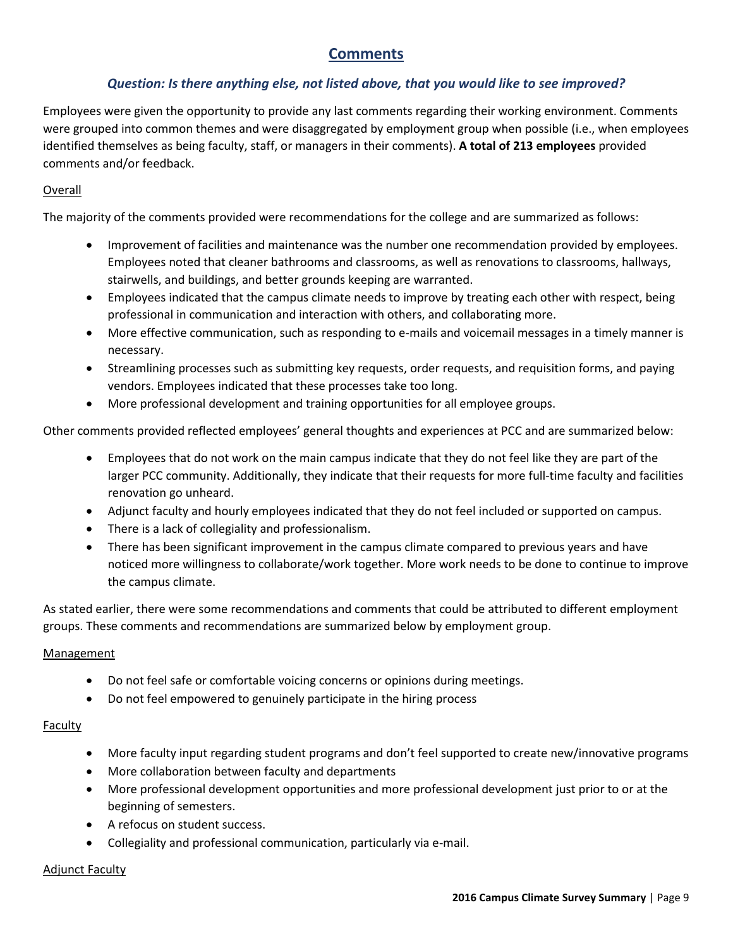### **Comments**

#### *Question: Is there anything else, not listed above, that you would like to see improved?*

Employees were given the opportunity to provide any last comments regarding their working environment. Comments were grouped into common themes and were disaggregated by employment group when possible (i.e., when employees identified themselves as being faculty, staff, or managers in their comments). **A total of 213 employees** provided comments and/or feedback.

#### Overall

The majority of the comments provided were recommendations for the college and are summarized as follows:

- Improvement of facilities and maintenance was the number one recommendation provided by employees. Employees noted that cleaner bathrooms and classrooms, as well as renovations to classrooms, hallways, stairwells, and buildings, and better grounds keeping are warranted.
- Employees indicated that the campus climate needs to improve by treating each other with respect, being professional in communication and interaction with others, and collaborating more.
- More effective communication, such as responding to e-mails and voicemail messages in a timely manner is necessary.
- Streamlining processes such as submitting key requests, order requests, and requisition forms, and paying vendors. Employees indicated that these processes take too long.
- More professional development and training opportunities for all employee groups.

Other comments provided reflected employees' general thoughts and experiences at PCC and are summarized below:

- Employees that do not work on the main campus indicate that they do not feel like they are part of the larger PCC community. Additionally, they indicate that their requests for more full-time faculty and facilities renovation go unheard.
- Adjunct faculty and hourly employees indicated that they do not feel included or supported on campus.
- There is a lack of collegiality and professionalism.
- There has been significant improvement in the campus climate compared to previous years and have noticed more willingness to collaborate/work together. More work needs to be done to continue to improve the campus climate.

As stated earlier, there were some recommendations and comments that could be attributed to different employment groups. These comments and recommendations are summarized below by employment group.

#### Management

- Do not feel safe or comfortable voicing concerns or opinions during meetings.
- Do not feel empowered to genuinely participate in the hiring process

#### **Faculty**

- More faculty input regarding student programs and don't feel supported to create new/innovative programs
- More collaboration between faculty and departments
- More professional development opportunities and more professional development just prior to or at the beginning of semesters.
- A refocus on student success.
- Collegiality and professional communication, particularly via e-mail.

#### Adjunct Faculty